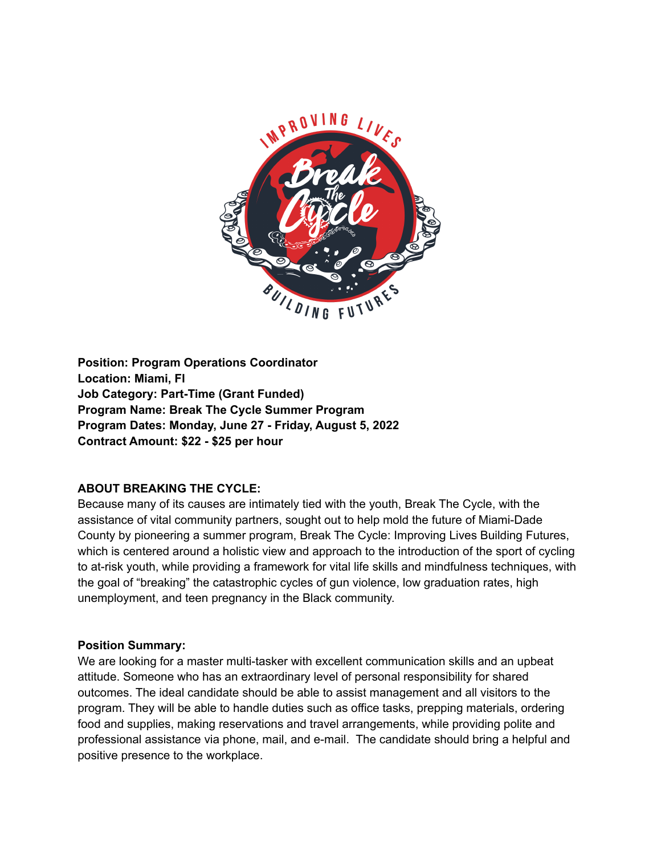

**Position: Program Operations Coordinator Location: Miami, Fl Job Category: Part-Time (Grant Funded) Program Name: Break The Cycle Summer Program Program Dates: Monday, June 27 - Friday, August 5, 2022 Contract Amount: \$22 - \$25 per hour**

## **ABOUT BREAKING THE CYCLE:**

Because many of its causes are intimately tied with the youth, Break The Cycle, with the assistance of vital community partners, sought out to help mold the future of Miami-Dade County by pioneering a summer program, Break The Cycle: Improving Lives Building Futures, which is centered around a holistic view and approach to the introduction of the sport of cycling to at-risk youth, while providing a framework for vital life skills and mindfulness techniques, with the goal of "breaking" the catastrophic cycles of gun violence, low graduation rates, high unemployment, and teen pregnancy in the Black community.

## **Position Summary:**

We are looking for a master multi-tasker with excellent communication skills and an upbeat attitude. Someone who has an extraordinary level of personal responsibility for shared outcomes. The ideal candidate should be able to assist management and all visitors to the program. They will be able to handle duties such as office tasks, prepping materials, ordering food and supplies, making reservations and travel arrangements, while providing polite and professional assistance via phone, mail, and e-mail. The candidate should bring a helpful and positive presence to the workplace.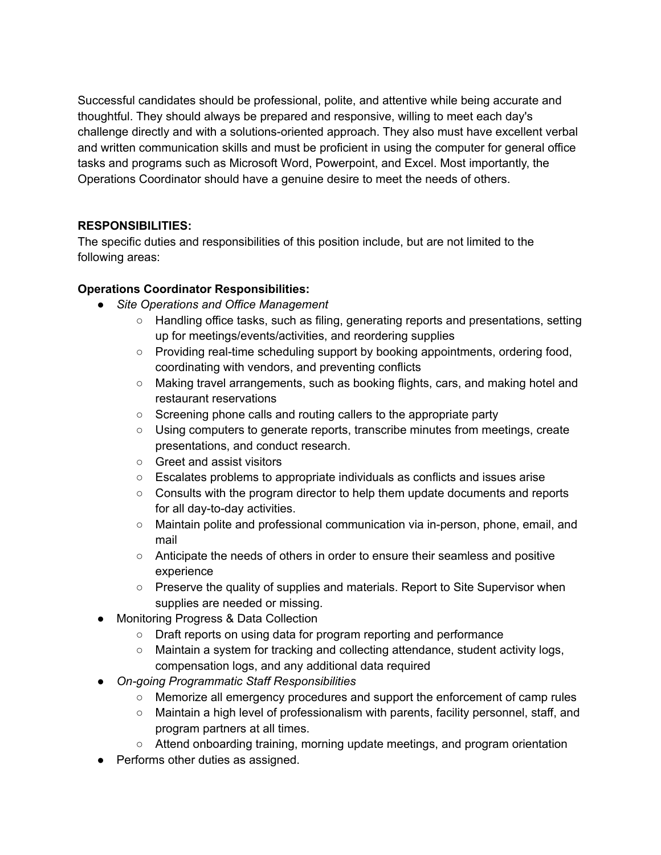Successful candidates should be professional, polite, and attentive while being accurate and thoughtful. They should always be prepared and responsive, willing to meet each day's challenge directly and with a solutions-oriented approach. They also must have excellent verbal and written communication skills and must be proficient in using the computer for general office tasks and programs such as Microsoft Word, Powerpoint, and Excel. Most importantly, the Operations Coordinator should have a genuine desire to meet the needs of others.

# **RESPONSIBILITIES:**

The specific duties and responsibilities of this position include, but are not limited to the following areas:

# **Operations Coordinator Responsibilities:**

- *● Site Operations and Office Management*
	- Handling office tasks, such as filing, generating reports and presentations, setting up for meetings/events/activities, and reordering supplies
	- Providing real-time scheduling support by booking appointments, ordering food, coordinating with vendors, and preventing conflicts
	- Making travel arrangements, such as booking flights, cars, and making hotel and restaurant reservations
	- Screening phone calls and routing callers to the appropriate party
	- Using computers to generate reports, transcribe minutes from meetings, create presentations, and conduct research.
	- Greet and assist visitors
	- Escalates problems to appropriate individuals as conflicts and issues arise
	- Consults with the program director to help them update documents and reports for all day-to-day activities.
	- Maintain polite and professional communication via in-person, phone, email, and mail
	- Anticipate the needs of others in order to ensure their seamless and positive experience
	- Preserve the quality of supplies and materials. Report to Site Supervisor when supplies are needed or missing.
- **Monitoring Progress & Data Collection** 
	- Draft reports on using data for program reporting and performance
	- Maintain a system for tracking and collecting attendance, student activity logs, compensation logs, and any additional data required
- *● On-going Programmatic Staff Responsibilities*
	- Memorize all emergency procedures and support the enforcement of camp rules
	- Maintain a high level of professionalism with parents, facility personnel, staff, and program partners at all times.
	- Attend onboarding training, morning update meetings, and program orientation
- Performs other duties as assigned.